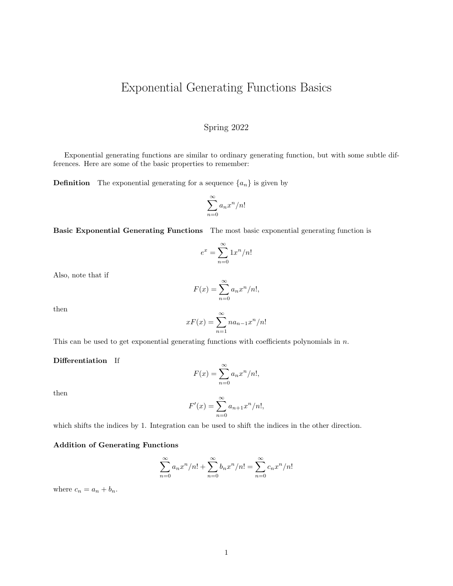# Exponential Generating Functions Basics

## Spring 2022

Exponential generating functions are similar to ordinary generating function, but with some subtle differences. Here are some of the basic properties to remember:

**Definition** The exponential generating for a sequence  $\{a_n\}$  is given by

$$
\sum_{n=0}^{\infty} a_n x^n / n!
$$

Basic Exponential Generating Functions The most basic exponential generating function is

$$
e^x = \sum_{n=0}^{\infty} 1x^n/n!
$$

Also, note that if

$$
F(x) = \sum_{n=0}^{\infty} a_n x^n / n!,
$$

then

$$
xF(x) = \sum_{n=1}^{\infty} na_{n-1}x^n/n!
$$

This can be used to get exponential generating functions with coefficients polynomials in  $n$ .

#### Differentiation If

$$
F(x) = \sum_{n=0}^{\infty} a_n x^n / n!,
$$

then

$$
F'(x) = \sum_{n=0}^{\infty} a_{n+1} x^n / n!,
$$

which shifts the indices by 1. Integration can be used to shift the indices in the other direction.

#### Addition of Generating Functions

$$
\sum_{n=0}^{\infty} a_n x^n/n! + \sum_{n=0}^{\infty} b_n x^n/n! = \sum_{n=0}^{\infty} c_n x^n/n!
$$

where  $c_n = a_n + b_n$ .